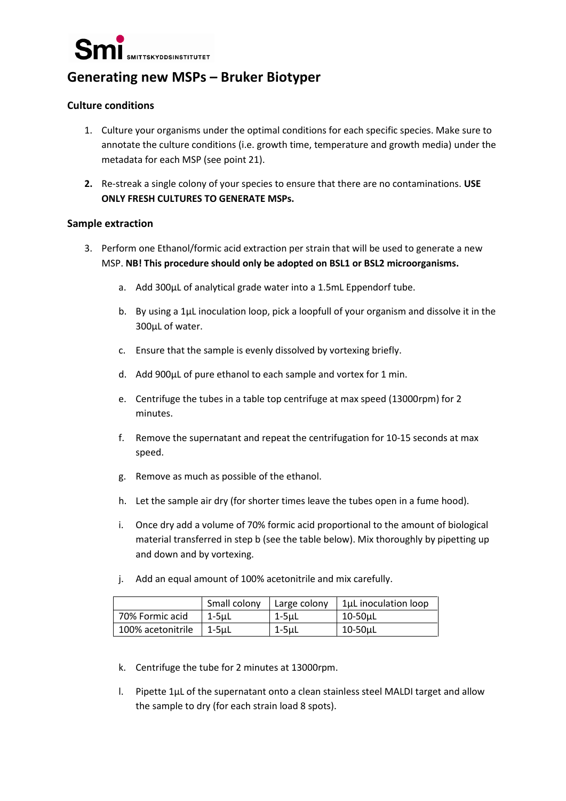

# **Generating new MSPs – Bruker Biotyper**

## **Culture conditions**

- 1. Culture your organisms under the optimal conditions for each specific species. Make sure to annotate the culture conditions (i.e. growth time, temperature and growth media) under the metadata for each MSP (see point 21).
- **2.** Re-streak a single colony of your species to ensure that there are no contaminations. **USE ONLY FRESH CULTURES TO GENERATE MSPs.**

### **Sample extraction**

- 3. Perform one Ethanol/formic acid extraction per strain that will be used to generate a new MSP. **NB! This procedure should only be adopted on BSL1 or BSL2 microorganisms.**
	- a. Add 300µL of analytical grade water into a 1.5mL Eppendorf tube.
	- b. By using a 1µL inoculation loop, pick a loopfull of your organism and dissolve it in the 300µL of water.
	- c. Ensure that the sample is evenly dissolved by vortexing briefly.
	- d. Add 900µL of pure ethanol to each sample and vortex for 1 min.
	- e. Centrifuge the tubes in a table top centrifuge at max speed (13000rpm) for 2 minutes.
	- f. Remove the supernatant and repeat the centrifugation for 10-15 seconds at max speed.
	- g. Remove as much as possible of the ethanol.
	- h. Let the sample air dry (for shorter times leave the tubes open in a fume hood).
	- i. Once dry add a volume of 70% formic acid proportional to the amount of biological material transferred in step b (see the table below). Mix thoroughly by pipetting up and down and by vortexing.
	- j. Add an equal amount of 100% acetonitrile and mix carefully.

|                   | Small colony | Large colony | $\vert$ 1µL inoculation loop |
|-------------------|--------------|--------------|------------------------------|
| 70% Formic acid   | $1-5\mu L$   | 1-5uL        | 10-50uL                      |
| 100% acetonitrile | 1-5µL        | $1-5\mu L$   | $10-50\mu L$                 |

- k. Centrifuge the tube for 2 minutes at 13000rpm.
- l. Pipette 1µL of the supernatant onto a clean stainless steel MALDI target and allow the sample to dry (for each strain load 8 spots).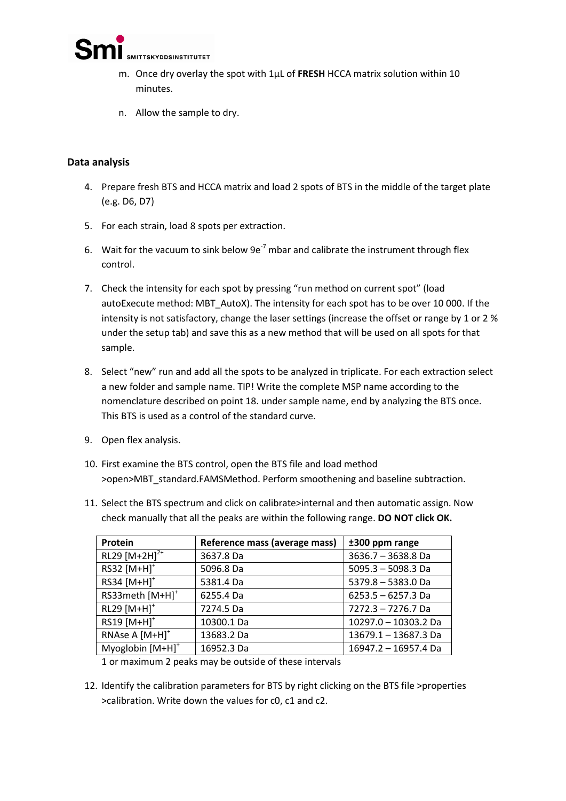

- m. Once dry overlay the spot with 1µL of **FRESH** HCCA matrix solution within 10 minutes.
- n. Allow the sample to dry.

# **Data analysis**

- 4. Prepare fresh BTS and HCCA matrix and load 2 spots of BTS in the middle of the target plate (e.g. D6, D7)
- 5. For each strain, load 8 spots per extraction.
- 6. Wait for the vacuum to sink below  $9e^{-7}$  mbar and calibrate the instrument through flex control.
- 7. Check the intensity for each spot by pressing "run method on current spot" (load autoExecute method: MBT\_AutoX). The intensity for each spot has to be over 10 000. If the intensity is not satisfactory, change the laser settings (increase the offset or range by 1 or 2 % under the setup tab) and save this as a new method that will be used on all spots for that sample.
- 8. Select "new" run and add all the spots to be analyzed in triplicate. For each extraction select a new folder and sample name. TIP! Write the complete MSP name according to the nomenclature described on point 18. under sample name, end by analyzing the BTS once. This BTS is used as a control of the standard curve.
- 9. Open flex analysis.
- 10. First examine the BTS control, open the BTS file and load method >open>MBT\_standard.FAMSMethod. Perform smoothening and baseline subtraction.
- 11. Select the BTS spectrum and click on calibrate>internal and then automatic assign. Now check manually that all the peaks are within the following range. **DO NOT click OK.**

| Protein                      | Reference mass (average mass) | ±300 ppm range       |
|------------------------------|-------------------------------|----------------------|
| RL29 $[M+2H]^{2+}$           | 3637.8 Da                     | 3636.7 - 3638.8 Da   |
| RS32 [M+H] <sup>+</sup>      | 5096.8 Da                     | $5095.3 - 5098.3$ Da |
| RS34 [M+H] <sup>+</sup>      | 5381.4 Da                     | 5379.8 - 5383.0 Da   |
| RS33meth [M+H] <sup>+</sup>  | 6255.4 Da                     | $6253.5 - 6257.3$ Da |
| RL29 [M+H] <sup>+</sup>      | 7274.5 Da                     | 7272.3 - 7276.7 Da   |
| RS19 [M+H] <sup>+</sup>      | 10300.1 Da                    | 10297.0 - 10303.2 Da |
| RNAse A [M+H] <sup>+</sup>   | 13683.2 Da                    | 13679.1 - 13687.3 Da |
| Myoglobin [M+H] <sup>+</sup> | 16952.3 Da                    | 16947.2 - 16957.4 Da |

1 or maximum 2 peaks may be outside of these intervals

12. Identify the calibration parameters for BTS by right clicking on the BTS file >properties >calibration. Write down the values for c0, c1 and c2.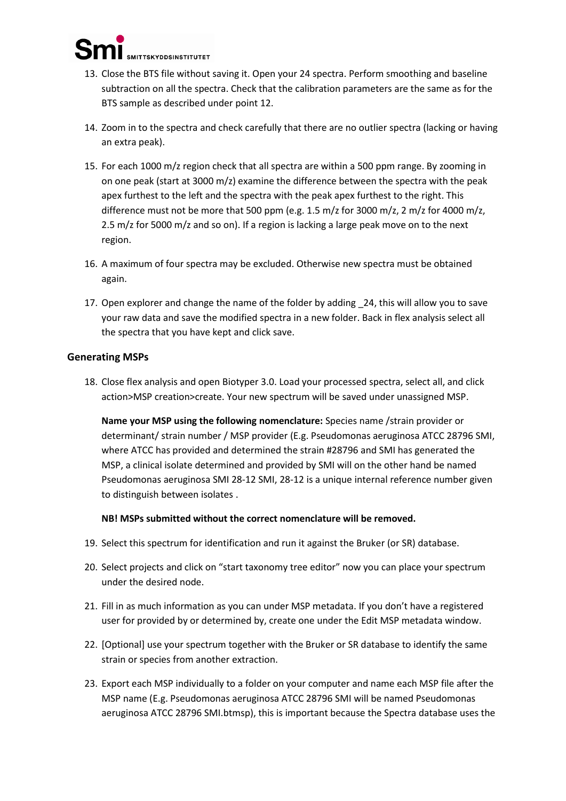

- 13. Close the BTS file without saving it. Open your 24 spectra. Perform smoothing and baseline subtraction on all the spectra. Check that the calibration parameters are the same as for the BTS sample as described under point 12.
- 14. Zoom in to the spectra and check carefully that there are no outlier spectra (lacking or having an extra peak).
- 15. For each 1000 m/z region check that all spectra are within a 500 ppm range. By zooming in on one peak (start at 3000 m/z) examine the difference between the spectra with the peak apex furthest to the left and the spectra with the peak apex furthest to the right. This difference must not be more that 500 ppm (e.g. 1.5 m/z for 3000 m/z, 2 m/z for 4000 m/z, 2.5 m/z for 5000 m/z and so on). If a region is lacking a large peak move on to the next region.
- 16. A maximum of four spectra may be excluded. Otherwise new spectra must be obtained again.
- 17. Open explorer and change the name of the folder by adding \_24, this will allow you to save your raw data and save the modified spectra in a new folder. Back in flex analysis select all the spectra that you have kept and click save.

### **Generating MSPs**

18. Close flex analysis and open Biotyper 3.0. Load your processed spectra, select all, and click action>MSP creation>create. Your new spectrum will be saved under unassigned MSP.

**Name your MSP using the following nomenclature:** Species name /strain provider or determinant/ strain number / MSP provider (E.g. Pseudomonas aeruginosa ATCC 28796 SMI, where ATCC has provided and determined the strain #28796 and SMI has generated the MSP, a clinical isolate determined and provided by SMI will on the other hand be named Pseudomonas aeruginosa SMI 28-12 SMI, 28-12 is a unique internal reference number given to distinguish between isolates .

**NB! MSPs submitted without the correct nomenclature will be removed.**

- 19. Select this spectrum for identification and run it against the Bruker (or SR) database.
- 20. Select projects and click on "start taxonomy tree editor" now you can place your spectrum under the desired node.
- 21. Fill in as much information as you can under MSP metadata. If you don't have a registered user for provided by or determined by, create one under the Edit MSP metadata window.
- 22. [Optional] use your spectrum together with the Bruker or SR database to identify the same strain or species from another extraction.
- 23. Export each MSP individually to a folder on your computer and name each MSP file after the MSP name (E.g. Pseudomonas aeruginosa ATCC 28796 SMI will be named Pseudomonas aeruginosa ATCC 28796 SMI.btmsp), this is important because the Spectra database uses the